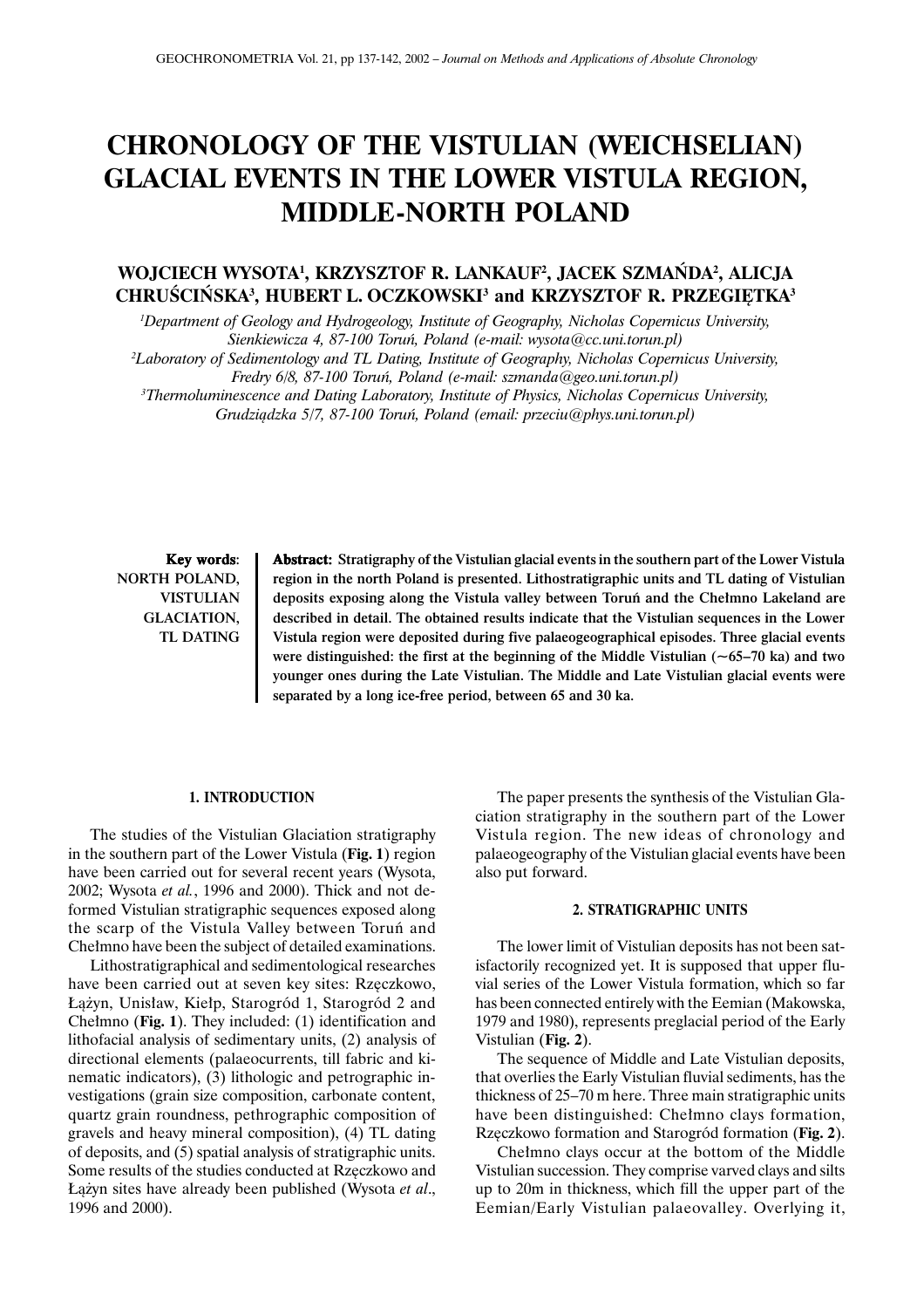# **CHRONOLOGY OF THE VISTULIAN (WEICHSELIAN) GLACIAL EVENTS IN THE LOWER VISTULA REGION, MIDDLE-NORTH POLAND**

## **WOJCIECH WYSOTA1 , KRZYSZTOF R. LANKAUF2 , JACEK SZMAÑDA2 , ALICJA CHRUŚCIŃSKA<sup>3</sup>, HUBERT L. OCZKOWSKI<sup>3</sup> and KRZYSZTOF R. PRZEGIĘTKA<sup>3</sup>**

*1 Department of Geology and Hydrogeology, Institute of Geography, Nicholas Copernicus University, Sienkiewicza 4, 87-100 Toruñ, Poland (e-mail: wysota@cc.uni.torun.pl)*

*2 Laboratory of Sedimentology and TL Dating, Institute of Geography, Nicholas Copernicus University,*

*Fredry 6/8, 87-100 Toruñ, Poland (e-mail: szmanda@geo.uni.torun.pl)*

*3 Thermoluminescence and Dating Laboratory, Institute of Physics, Nicholas Copernicus University, Grudzi¹dzka 5/7, 87-100 Toruñ, Poland (email: przeciu@phys.uni.torun.pl)*

Key words: NORTH POLAND, VISTULIAN GLACIATION, TL DATING

Abstract: Stratigraphy of the Vistulian glacial events in the southern part of the Lower Vistula region in the north Poland is presented. Lithostratigraphic units and TL dating of Vistulian deposits exposing along the Vistula valley between Toruń and the Chełmno Lakeland are described in detail. The obtained results indicate that the Vistulian sequences in the Lower Vistula region were deposited during five palaeogeographical episodes. Three glacial events were distinguished: the first at the beginning of the Middle Vistulian (~65–70 ka) and two younger ones during the Late Vistulian. The Middle and Late Vistulian glacial events were separated by a long ice-free period, between 65 and 30 ka.

#### **1. INTRODUCTION**

The studies of the Vistulian Glaciation stratigraphy in the southern part of the Lower Vistula (**Fig. 1**) region have been carried out for several recent years (Wysota, 2002; Wysota *et al.*, 1996 and 2000). Thick and not deformed Vistulian stratigraphic sequences exposed along the scarp of the Vistula Valley between Toruñ and Chełmno have been the subject of detailed examinations.

Lithostratigraphical and sedimentological researches have been carried out at seven key sites: Rzęczkowo, Łążyn, Unisław, Kiełp, Starogród 1, Starogród 2 and Chełmno (Fig. 1). They included: (1) identification and lithofacial analysis of sedimentary units, (2) analysis of directional elements (palaeocurrents, till fabric and kinematic indicators), (3) lithologic and petrographic investigations (grain size composition, carbonate content, quartz grain roundness, pethrographic composition of gravels and heavy mineral composition), (4) TL dating of deposits, and (5) spatial analysis of stratigraphic units. Some results of the studies conducted at Rzęczkowo and £¹¿yn sites have already been published (Wysota *et al*., 1996 and 2000).

The paper presents the synthesis of the Vistulian Glaciation stratigraphy in the southern part of the Lower Vistula region. The new ideas of chronology and palaeogeography of the Vistulian glacial events have been also put forward.

## **2. STRATIGRAPHIC UNITS**

The lower limit of Vistulian deposits has not been satisfactorily recognized yet. It is supposed that upper fluvial series of the Lower Vistula formation, which so far has been connected entirely with the Eemian (Makowska, 1979 and 1980), represents preglacial period of the Early Vistulian (**Fig. 2**).

The sequence of Middle and Late Vistulian deposits, that overlies the Early Vistulian fluvial sediments, has the thickness of 25–70 m here. Three main stratigraphic units have been distinguished: Chełmno clays formation, Rzêczkowo formation and Starogród formation (**Fig. 2**).

Chełmno clays occur at the bottom of the Middle Vistulian succession. They comprise varved clays and silts up to 20m in thickness, which fill the upper part of the Eemian/Early Vistulian palaeovalley. Overlying it,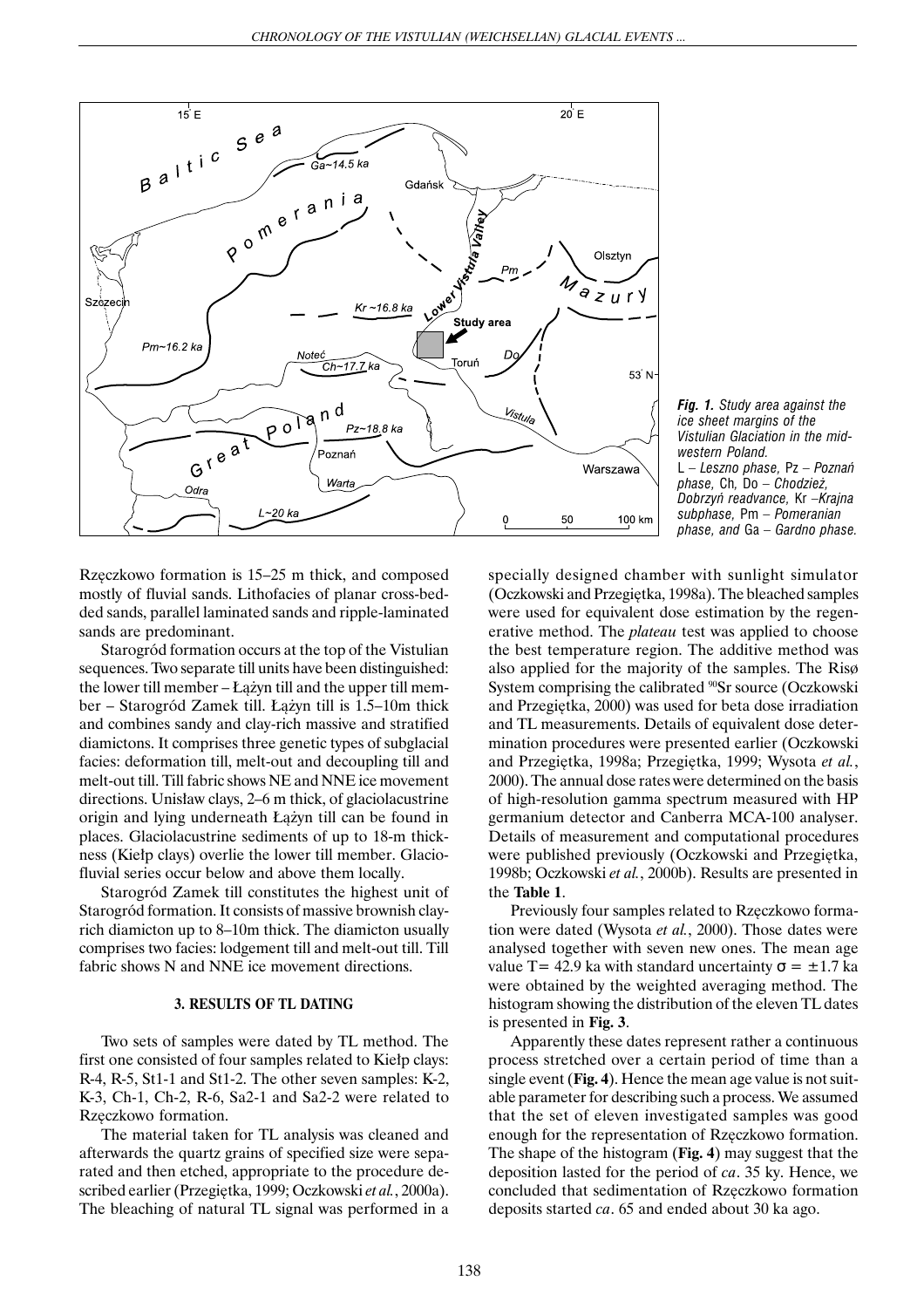

*Fig. 1. Study area against the ice sheet margins of the Vistulian Glaciation in the midwestern Poland.* L *– Leszno phase,* Pz *– Poznañ phase,* Ch*,* Do *– Chodzie¿, Dobrzyñ readvance,* Kr *–Krajna subphase,* Pm *– Pomeranian phase, and* Ga *– Gardno phase.*

Rzęczkowo formation is 15–25 m thick, and composed mostly of fluvial sands. Lithofacies of planar cross-bedded sands, parallel laminated sands and ripple-laminated sands are predominant.

Starogród formation occurs at the top of the Vistulian sequences. Two separate till units have been distinguished: the lower till member – Łążyn till and the upper till member – Starogród Zamek till. Łążyn till is 1.5–10m thick and combines sandy and clay-rich massive and stratified diamictons. It comprises three genetic types of subglacial facies: deformation till, melt-out and decoupling till and melt-out till. Till fabric shows NE and NNE ice movement directions. Unisław clays, 2–6 m thick, of glaciolacustrine origin and lying underneath Łążyn till can be found in places. Glaciolacustrine sediments of up to 18-m thickness (Kiełp clays) overlie the lower till member. Glaciofluvial series occur below and above them locally.

Starogród Zamek till constitutes the highest unit of Starogród formation. It consists of massive brownish clayrich diamicton up to 8–10m thick. The diamicton usually comprises two facies: lodgement till and melt-out till. Till fabric shows N and NNE ice movement directions.

## **3. RESULTS OF TL DATING**

Two sets of samples were dated by TL method. The first one consisted of four samples related to Kiełp clays: R-4, R-5, St1-1 and St1-2. The other seven samples: K-2, K-3, Ch-1, Ch-2, R-6, Sa2-1 and Sa2-2 were related to Rzęczkowo formation.

The material taken for TL analysis was cleaned and afterwards the quartz grains of specified size were separated and then etched, appropriate to the procedure described earlier (Przegiętka, 1999; Oczkowski et al., 2000a). The bleaching of natural TL signal was performed in a specially designed chamber with sunlight simulator (Oczkowski and Przegiêtka, 1998a). The bleached samples were used for equivalent dose estimation by the regenerative method. The *plateau* test was applied to choose the best temperature region. The additive method was also applied for the majority of the samples. The Risø System comprising the calibrated <sup>90</sup>Sr source (Oczkowski and Przegiêtka, 2000) was used for beta dose irradiation and TL measurements. Details of equivalent dose determination procedures were presented earlier (Oczkowski and Przegiêtka, 1998a; Przegiêtka, 1999; Wysota *et al.*, 2000). The annual dose rates were determined on the basis of high-resolution gamma spectrum measured with HP germanium detector and Canberra MCA-100 analyser. Details of measurement and computational procedures were published previously (Oczkowski and Przegiętka, 1998b; Oczkowski *et al.*, 2000b). Results are presented in the **Table 1**.

Previously four samples related to Rzęczkowo formation were dated (Wysota *et al.*, 2000). Those dates were analysed together with seven new ones. The mean age value T= 42.9 ka with standard uncertainty  $\sigma = \pm 1.7$  ka were obtained by the weighted averaging method. The histogram showing the distribution of the eleven TL dates is presented in **Fig. 3**.

Apparently these dates represent rather a continuous process stretched over a certain period of time than a single event (**Fig. 4**). Hence the mean age value is not suitable parameter for describing such a process. We assumed that the set of eleven investigated samples was good enough for the representation of Rzęczkowo formation. The shape of the histogram (**Fig. 4**) may suggest that the deposition lasted for the period of *ca*. 35 ky. Hence, we concluded that sedimentation of Rzęczkowo formation deposits started *ca*. 65 and ended about 30 ka ago.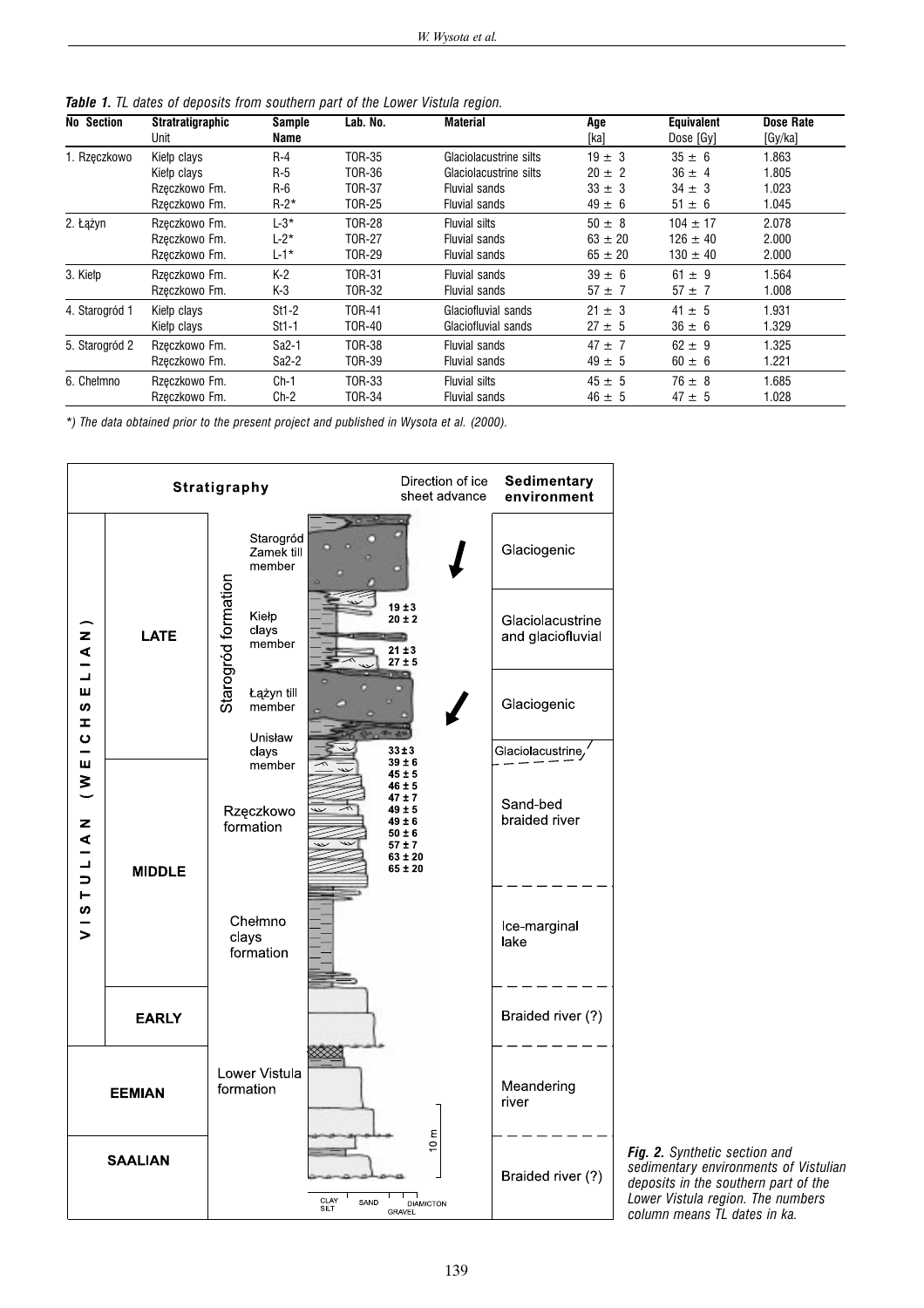*Table 1. TL dates of deposits from southern part of the Lower Vistula region.*

| <b>No Section</b> | <b>Stratratigraphic</b><br>Unit | Sample<br>Name     | Lab. No.      | Material               | Age<br>[ka] | <b>Equivalent</b><br>Dose [Gy] | Dose Rate<br>[Gy/ka] |
|-------------------|---------------------------------|--------------------|---------------|------------------------|-------------|--------------------------------|----------------------|
| 1. Rzęczkowo      | Kielp clays                     | $R-4$              | T0R-35        | Glaciolacustrine silts | $19 \pm 3$  | $35 \pm 6$                     | 1.863                |
|                   | Kielp clays                     | $R-5$              | T0R-36        | Glaciolacustrine silts | $20 \pm 2$  | $36 \pm 4$                     | 1.805                |
|                   | Rzeczkowo Fm.                   | $R-6$              | <b>TOR-37</b> | Fluvial sands          | $33 \pm 3$  | $34 \pm 3$                     | 1.023                |
|                   | Rzęczkowo Fm.                   | $R-2*$             | T0R-25        | <b>Fluvial sands</b>   | $49 \pm 6$  | $51 \pm 6$                     | 1.045                |
| 2. Łążyn          | Rzeczkowo Fm.                   | $L-3*$             | <b>TOR-28</b> | <b>Fluvial silts</b>   | $50 \pm 8$  | $104 \pm 17$                   | 2.078                |
|                   | Rzeczkowo Fm.                   | $L-2^*$            | <b>TOR-27</b> | <b>Fluvial sands</b>   | $63 \pm 20$ | $126 \pm 40$                   | 2.000                |
|                   | Rzeczkowo Fm.                   | L-1*               | T0R-29        | <b>Fluvial sands</b>   | $65 \pm 20$ | $130 \pm 40$                   | 2.000                |
| 3. Kiełp          | Rzeczkowo Fm.                   | $K-2$              | <b>TOR-31</b> | Fluvial sands          | $39 \pm 6$  | $61 \pm 9$                     | 1.564                |
|                   | Rzęczkowo Fm.                   | K-3                | T0R-32        | <b>Fluvial sands</b>   | $57 \pm 7$  | $57 \pm 7$                     | 1.008                |
| 4. Starogród 1    | Kielp clays                     | $St1-2$            | T0R-41        | Glaciofluvial sands    | $21 \pm 3$  | $41 \pm 5$                     | 1.931                |
|                   | Kielp clays                     | $St1-1$            | T0R-40        | Glaciofluvial sands    | $27 \pm 5$  | $36 \pm 6$                     | 1.329                |
| 5. Starogród 2    | Rzeczkowo Fm.                   | Sa <sub>2</sub> -1 | T0R-38        | Fluvial sands          | $47 \pm 7$  | $62 \pm 9$                     | 1.325                |
|                   | Rzeczkowo Fm.                   | Sa2-2              | T0R-39        | <b>Fluvial sands</b>   | $49 \pm 5$  | $60 \pm 6$                     | 1.221                |
| 6. Chełmno        | Rzeczkowo Fm.                   | $Ch-1$             | T0R-33        | <b>Fluvial silts</b>   | $45 \pm 5$  | $76 \pm 8$                     | 1.685                |
|                   | Rzeczkowo Fm.                   | Ch-2               | TOR-34        | <b>Fluvial sands</b>   | $46 \pm 5$  | $47 \pm 5$                     | 1.028                |

*\*) The data obtained prior to the present project and published in Wysota et al. (2000).*



*Fig. 2. Synthetic section and sedimentary environments of Vistulian deposits in the southern part of the Lower Vistula region. The numbers column means TL dates in ka.*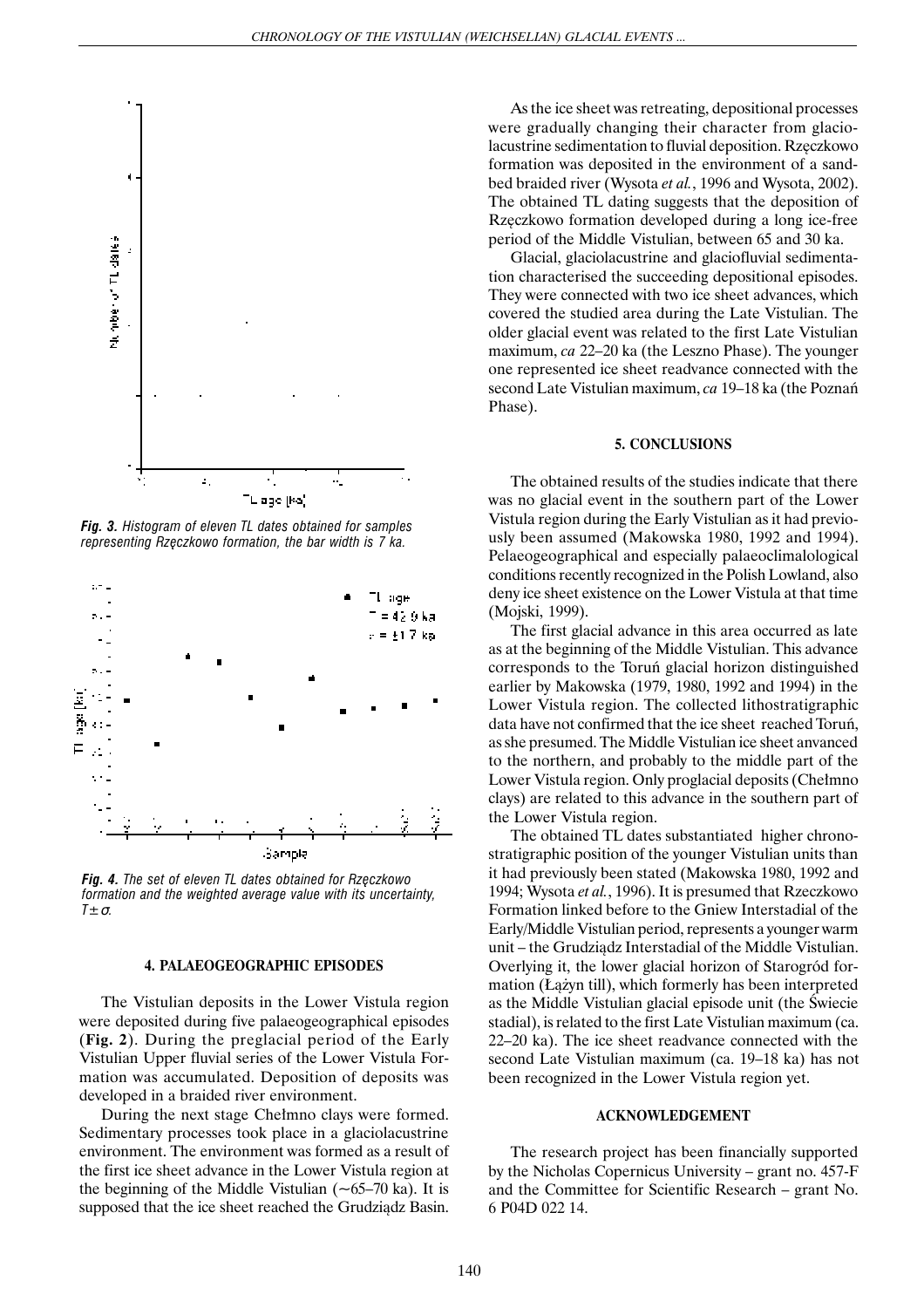

*Fig. 3. Histogram of eleven TL dates obtained for samples representing Rzêczkowo formation, the bar width is 7 ka.*



*Fig. 4. The set of eleven TL dates obtained for Rzêczkowo formation and the weighted average value with its uncertainty, T±*σ*.*

### **4. PALAEOGEOGRAPHIC EPISODES**

The Vistulian deposits in the Lower Vistula region were deposited during five palaeogeographical episodes (**Fig. 2**). During the preglacial period of the Early Vistulian Upper fluvial series of the Lower Vistula Formation was accumulated. Deposition of deposits was developed in a braided river environment.

During the next stage Chełmno clays were formed. Sedimentary processes took place in a glaciolacustrine environment. The environment was formed as a result of the first ice sheet advance in the Lower Vistula region at the beginning of the Middle Vistulian  $(-65-70 \text{ ka})$ . It is supposed that the ice sheet reached the Grudziadz Basin.

As the ice sheet was retreating, depositional processes were gradually changing their character from glaciolacustrine sedimentation to fluvial deposition. Rzęczkowo formation was deposited in the environment of a sandbed braided river (Wysota *et al.*, 1996 and Wysota, 2002). The obtained TL dating suggests that the deposition of Rzęczkowo formation developed during a long ice-free period of the Middle Vistulian, between 65 and 30 ka.

Glacial, glaciolacustrine and glaciofluvial sedimentation characterised the succeeding depositional episodes. They were connected with two ice sheet advances, which covered the studied area during the Late Vistulian. The older glacial event was related to the first Late Vistulian maximum, *ca* 22–20 ka (the Leszno Phase). The younger one represented ice sheet readvance connected with the second Late Vistulian maximum, *ca* 19–18 ka (the Poznañ Phase).

#### **5. CONCLUSIONS**

The obtained results of the studies indicate that there was no glacial event in the southern part of the Lower Vistula region during the Early Vistulian as it had previously been assumed (Makowska 1980, 1992 and 1994). Pelaeogeographical and especially palaeoclimalological conditions recently recognized in the Polish Lowland, also deny ice sheet existence on the Lower Vistula at that time (Mojski, 1999).

The first glacial advance in this area occurred as late as at the beginning of the Middle Vistulian. This advance corresponds to the Toruñ glacial horizon distinguished earlier by Makowska (1979, 1980, 1992 and 1994) in the Lower Vistula region. The collected lithostratigraphic data have not confirmed that the ice sheet reached Toruñ, as she presumed. The Middle Vistulian ice sheet anvanced to the northern, and probably to the middle part of the Lower Vistula region. Only proglacial deposits (Chełmno clays) are related to this advance in the southern part of the Lower Vistula region.

The obtained TL dates substantiated higher chronostratigraphic position of the younger Vistulian units than it had previously been stated (Makowska 1980, 1992 and 1994; Wysota *et al.*, 1996). It is presumed that Rzeczkowo Formation linked before to the Gniew Interstadial of the Early/Middle Vistulian period, represents a younger warm unit – the Grudziadz Interstadial of the Middle Vistulian. Overlying it, the lower glacial horizon of Starogród formation (Łążyn till), which formerly has been interpreted as the Middle Vistulian glacial episode unit (the Świecie stadial), is related to the first Late Vistulian maximum (ca. 22–20 ka). The ice sheet readvance connected with the second Late Vistulian maximum (ca. 19–18 ka) has not been recognized in the Lower Vistula region yet.

#### **ACKNOWLEDGEMENT**

The research project has been financially supported by the Nicholas Copernicus University – grant no. 457-F and the Committee for Scientific Research – grant No. 6 P04D 022 14.